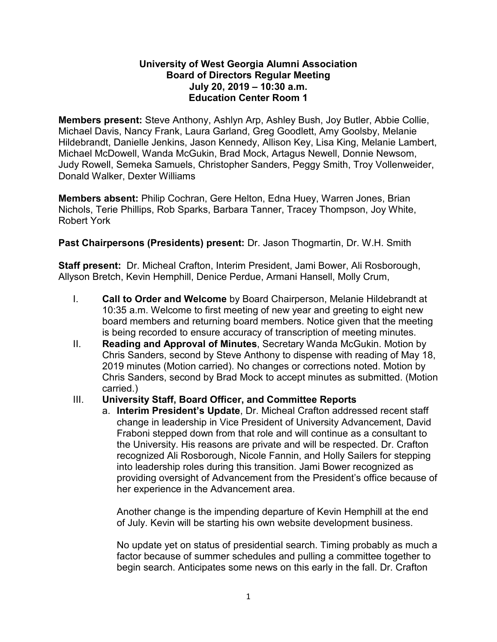# **University of West Georgia Alumni Association Board of Directors Regular Meeting July 20, 2019 – 10:30 a.m. Education Center Room 1**

**Members present:** Steve Anthony, Ashlyn Arp, Ashley Bush, Joy Butler, Abbie Collie, Michael Davis, Nancy Frank, Laura Garland, Greg Goodlett, Amy Goolsby, Melanie Hildebrandt, Danielle Jenkins, Jason Kennedy, Allison Key, Lisa King, Melanie Lambert, Michael McDowell, Wanda McGukin, Brad Mock, Artagus Newell, Donnie Newsom, Judy Rowell, Semeka Samuels, Christopher Sanders, Peggy Smith, Troy Vollenweider, Donald Walker, Dexter Williams

**Members absent:** Philip Cochran, Gere Helton, Edna Huey, Warren Jones, Brian Nichols, Terie Phillips, Rob Sparks, Barbara Tanner, Tracey Thompson, Joy White, Robert York

**Past Chairpersons (Presidents) present:** Dr. Jason Thogmartin, Dr. W.H. Smith

**Staff present:** Dr. Micheal Crafton, Interim President, Jami Bower, Ali Rosborough, Allyson Bretch, Kevin Hemphill, Denice Perdue, Armani Hansell, Molly Crum,

- I. **Call to Order and Welcome** by Board Chairperson, Melanie Hildebrandt at 10:35 a.m. Welcome to first meeting of new year and greeting to eight new board members and returning board members. Notice given that the meeting is being recorded to ensure accuracy of transcription of meeting minutes.
- II. **Reading and Approval of Minutes**, Secretary Wanda McGukin. Motion by Chris Sanders, second by Steve Anthony to dispense with reading of May 18, 2019 minutes (Motion carried). No changes or corrections noted. Motion by Chris Sanders, second by Brad Mock to accept minutes as submitted. (Motion carried.)

# III. **University Staff, Board Officer, and Committee Reports**

a. **Interim President's Update**, Dr. Micheal Crafton addressed recent staff change in leadership in Vice President of University Advancement, David Fraboni stepped down from that role and will continue as a consultant to the University. His reasons are private and will be respected. Dr. Crafton recognized Ali Rosborough, Nicole Fannin, and Holly Sailers for stepping into leadership roles during this transition. Jami Bower recognized as providing oversight of Advancement from the President's office because of her experience in the Advancement area.

Another change is the impending departure of Kevin Hemphill at the end of July. Kevin will be starting his own website development business.

No update yet on status of presidential search. Timing probably as much a factor because of summer schedules and pulling a committee together to begin search. Anticipates some news on this early in the fall. Dr. Crafton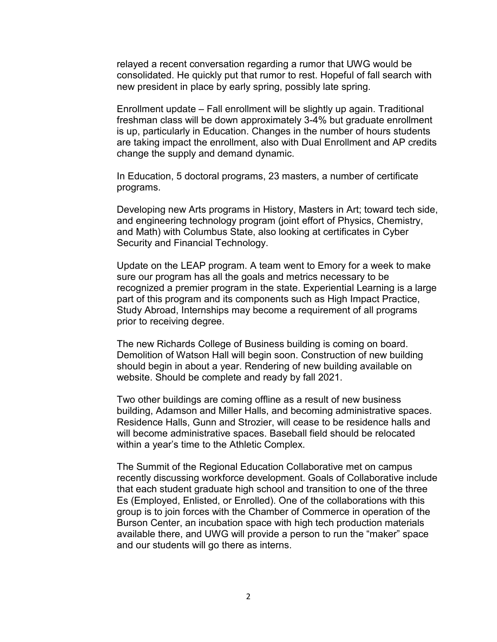relayed a recent conversation regarding a rumor that UWG would be consolidated. He quickly put that rumor to rest. Hopeful of fall search with new president in place by early spring, possibly late spring.

Enrollment update – Fall enrollment will be slightly up again. Traditional freshman class will be down approximately 3-4% but graduate enrollment is up, particularly in Education. Changes in the number of hours students are taking impact the enrollment, also with Dual Enrollment and AP credits change the supply and demand dynamic.

In Education, 5 doctoral programs, 23 masters, a number of certificate programs.

Developing new Arts programs in History, Masters in Art; toward tech side, and engineering technology program (joint effort of Physics, Chemistry, and Math) with Columbus State, also looking at certificates in Cyber Security and Financial Technology.

Update on the LEAP program. A team went to Emory for a week to make sure our program has all the goals and metrics necessary to be recognized a premier program in the state. Experiential Learning is a large part of this program and its components such as High Impact Practice, Study Abroad, Internships may become a requirement of all programs prior to receiving degree.

The new Richards College of Business building is coming on board. Demolition of Watson Hall will begin soon. Construction of new building should begin in about a year. Rendering of new building available on website. Should be complete and ready by fall 2021.

Two other buildings are coming offline as a result of new business building, Adamson and Miller Halls, and becoming administrative spaces. Residence Halls, Gunn and Strozier, will cease to be residence halls and will become administrative spaces. Baseball field should be relocated within a year's time to the Athletic Complex.

The Summit of the Regional Education Collaborative met on campus recently discussing workforce development. Goals of Collaborative include that each student graduate high school and transition to one of the three Es (Employed, Enlisted, or Enrolled). One of the collaborations with this group is to join forces with the Chamber of Commerce in operation of the Burson Center, an incubation space with high tech production materials available there, and UWG will provide a person to run the "maker" space and our students will go there as interns.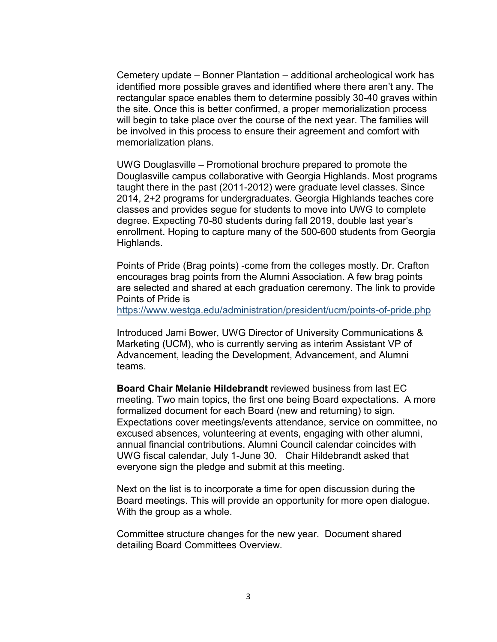Cemetery update – Bonner Plantation – additional archeological work has identified more possible graves and identified where there aren't any. The rectangular space enables them to determine possibly 30-40 graves within the site. Once this is better confirmed, a proper memorialization process will begin to take place over the course of the next year. The families will be involved in this process to ensure their agreement and comfort with memorialization plans.

UWG Douglasville – Promotional brochure prepared to promote the Douglasville campus collaborative with Georgia Highlands. Most programs taught there in the past (2011-2012) were graduate level classes. Since 2014, 2+2 programs for undergraduates. Georgia Highlands teaches core classes and provides segue for students to move into UWG to complete degree. Expecting 70-80 students during fall 2019, double last year's enrollment. Hoping to capture many of the 500-600 students from Georgia Highlands.

Points of Pride (Brag points) -come from the colleges mostly. Dr. Crafton encourages brag points from the Alumni Association. A few brag points are selected and shared at each graduation ceremony. The link to provide Points of Pride is

<https://www.westga.edu/administration/president/ucm/points-of-pride.php>

Introduced Jami Bower, UWG Director of University Communications & Marketing (UCM), who is currently serving as interim Assistant VP of Advancement, leading the Development, Advancement, and Alumni teams.

**Board Chair Melanie Hildebrandt** reviewed business from last EC meeting. Two main topics, the first one being Board expectations. A more formalized document for each Board (new and returning) to sign. Expectations cover meetings/events attendance, service on committee, no excused absences, volunteering at events, engaging with other alumni, annual financial contributions. Alumni Council calendar coincides with UWG fiscal calendar, July 1-June 30. Chair Hildebrandt asked that everyone sign the pledge and submit at this meeting.

Next on the list is to incorporate a time for open discussion during the Board meetings. This will provide an opportunity for more open dialogue. With the group as a whole.

Committee structure changes for the new year. Document shared detailing Board Committees Overview.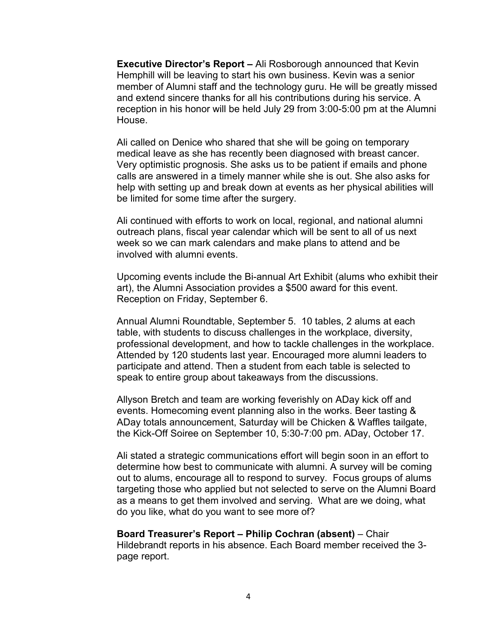**Executive Director's Report –** Ali Rosborough announced that Kevin Hemphill will be leaving to start his own business. Kevin was a senior member of Alumni staff and the technology guru. He will be greatly missed and extend sincere thanks for all his contributions during his service. A reception in his honor will be held July 29 from 3:00-5:00 pm at the Alumni House.

Ali called on Denice who shared that she will be going on temporary medical leave as she has recently been diagnosed with breast cancer. Very optimistic prognosis. She asks us to be patient if emails and phone calls are answered in a timely manner while she is out. She also asks for help with setting up and break down at events as her physical abilities will be limited for some time after the surgery.

Ali continued with efforts to work on local, regional, and national alumni outreach plans, fiscal year calendar which will be sent to all of us next week so we can mark calendars and make plans to attend and be involved with alumni events.

Upcoming events include the Bi-annual Art Exhibit (alums who exhibit their art), the Alumni Association provides a \$500 award for this event. Reception on Friday, September 6.

Annual Alumni Roundtable, September 5. 10 tables, 2 alums at each table, with students to discuss challenges in the workplace, diversity, professional development, and how to tackle challenges in the workplace. Attended by 120 students last year. Encouraged more alumni leaders to participate and attend. Then a student from each table is selected to speak to entire group about takeaways from the discussions.

Allyson Bretch and team are working feverishly on ADay kick off and events. Homecoming event planning also in the works. Beer tasting & ADay totals announcement, Saturday will be Chicken & Waffles tailgate, the Kick-Off Soiree on September 10, 5:30-7:00 pm. ADay, October 17.

Ali stated a strategic communications effort will begin soon in an effort to determine how best to communicate with alumni. A survey will be coming out to alums, encourage all to respond to survey. Focus groups of alums targeting those who applied but not selected to serve on the Alumni Board as a means to get them involved and serving. What are we doing, what do you like, what do you want to see more of?

#### **Board Treasurer's Report – Philip Cochran (absent)** – Chair Hildebrandt reports in his absence. Each Board member received the 3 page report.